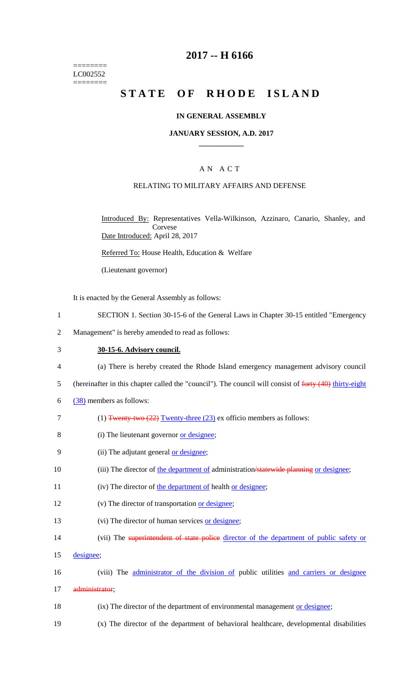======== LC002552 ========

### **2017 -- H 6166**

# STATE OF RHODE ISLAND

### **IN GENERAL ASSEMBLY**

#### **JANUARY SESSION, A.D. 2017 \_\_\_\_\_\_\_\_\_\_\_\_**

### A N A C T

### RELATING TO MILITARY AFFAIRS AND DEFENSE

Introduced By: Representatives Vella-Wilkinson, Azzinaro, Canario, Shanley, and Corvese Date Introduced: April 28, 2017

Referred To: House Health, Education & Welfare

(Lieutenant governor)

It is enacted by the General Assembly as follows:

- 1 SECTION 1. Section 30-15-6 of the General Laws in Chapter 30-15 entitled "Emergency
- 2 Management" is hereby amended to read as follows:

#### 3 **30-15-6. Advisory council.**

- 4 (a) There is hereby created the Rhode Island emergency management advisory council
- 5 (hereinafter in this chapter called the "council"). The council will consist of forty (40) thirty-eight
- $6 \frac{(38)}{20}$  members as follows:
- 7 (1) Twenty-two (22) Twenty-three (23) ex officio members as follows:
- 8 (i) The lieutenant governor <u>or designee</u>;
- 9 (ii) The adjutant general <u>or designee</u>;
- 10 (iii) The director of the department of administration/statewide planning or designee;
- 11 (iv) The director of the department of health or designee;
- 12 (v) The director of transportation <u>or designee</u>;
- 13 (vi) The director of human services or designee;
- 14 (vii) The superintendent of state police director of the department of public safety or
- 15 designee;
- 16 (viii) The administrator of the division of public utilities and carriers or designee
- 17 administrator;
- 18 (ix) The director of the department of environmental management <u>or designee</u>;
- 19 (x) The director of the department of behavioral healthcare, developmental disabilities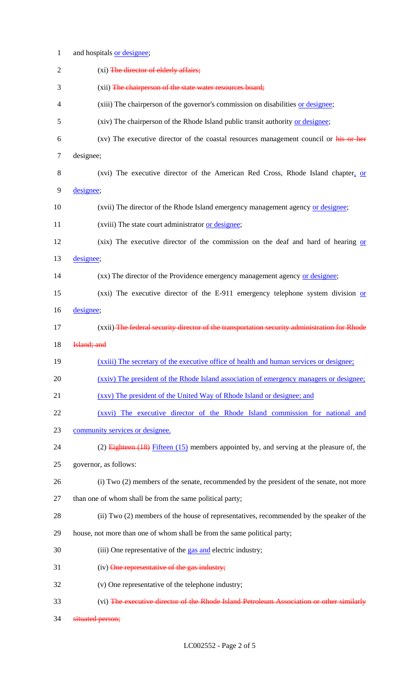| $\mathbf{1}$   | and hospitals or designee;                                                                     |
|----------------|------------------------------------------------------------------------------------------------|
| $\overline{2}$ | (xi) The director of elderly affairs;                                                          |
| 3              | (xii) The chairperson of the state water resources board;                                      |
| 4              | (xiii) The chairperson of the governor's commission on disabilities or designee;               |
| 5              | (xiv) The chairperson of the Rhode Island public transit authority or designee;                |
| 6              | (xv) The executive director of the coastal resources management council or his or her          |
| $\overline{7}$ | designee;                                                                                      |
| 8              | (xvi) The executive director of the American Red Cross, Rhode Island chapter, or               |
| 9              | designee;                                                                                      |
| 10             | (xvii) The director of the Rhode Island emergency management agency or designee;               |
| 11             | (xviii) The state court administrator or designee;                                             |
| 12             | (xix) The executive director of the commission on the deaf and hard of hearing or              |
| 13             | designee;                                                                                      |
| 14             | (xx) The director of the Providence emergency management agency or designee;                   |
| 15             | (xxi) The executive director of the E-911 emergency telephone system division $or$             |
| 16             | designee;                                                                                      |
| 17             | (xxii) The federal security director of the transportation security administration for Rhode   |
|                |                                                                                                |
| 18             | Island; and                                                                                    |
| 19             | (xxiii) The secretary of the executive office of health and human services or designee;        |
| 20             | (xxiv) The president of the Rhode Island association of emergency managers or designee;        |
| 21             | (xxv) The president of the United Way of Rhode Island or designee; and                         |
| 22             | (xxvi) The executive director of the Rhode Island commission for national and                  |
| 23             | community services or designee.                                                                |
| 24             | $(2)$ Eighteen $(18)$ Fifteen $(15)$ members appointed by, and serving at the pleasure of, the |
| 25             | governor, as follows:                                                                          |
| 26             | (i) Two (2) members of the senate, recommended by the president of the senate, not more        |
| 27             | than one of whom shall be from the same political party;                                       |
| 28             | (ii) Two (2) members of the house of representatives, recommended by the speaker of the        |
| 29             | house, not more than one of whom shall be from the same political party;                       |
| 30             | (iii) One representative of the gas and electric industry;                                     |
| 31             | (iv) One representative of the gas industry;                                                   |
| 32             | (v) One representative of the telephone industry;                                              |
| 33             | (vi) The executive director of the Rhode Island Petroleum Association or other similarly       |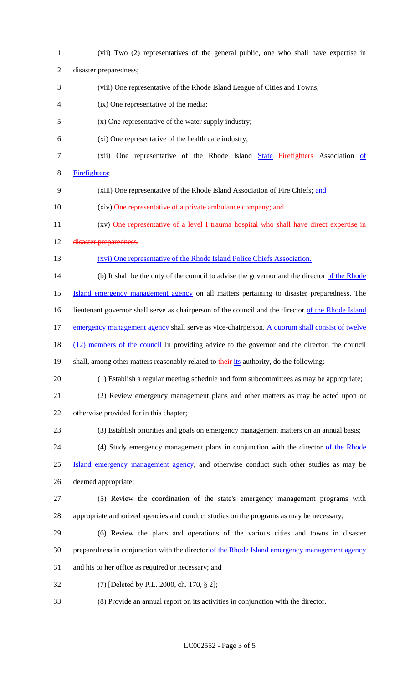| $\mathbf{1}$   | (vii) Two (2) representatives of the general public, one who shall have expertise in               |
|----------------|----------------------------------------------------------------------------------------------------|
| $\overline{2}$ | disaster preparedness;                                                                             |
| 3              | (viii) One representative of the Rhode Island League of Cities and Towns;                          |
| 4              | (ix) One representative of the media;                                                              |
| 5              | (x) One representative of the water supply industry;                                               |
| 6              | (xi) One representative of the health care industry;                                               |
| 7              | (xii) One representative of the Rhode Island State Firefighters Association of                     |
| 8              | Firefighters;                                                                                      |
| 9              | (xiii) One representative of the Rhode Island Association of Fire Chiefs; and                      |
| 10             | (xiv) One representative of a private ambulance company; and                                       |
| 11             | (xv) One representative of a level I trauma hospital who shall have direct expertise in            |
| 12             | disaster preparedness.                                                                             |
| 13             | (xvi) One representative of the Rhode Island Police Chiefs Association.                            |
| 14             | (b) It shall be the duty of the council to advise the governor and the director of the Rhode       |
| 15             | Island emergency management agency on all matters pertaining to disaster preparedness. The         |
| 16             | lieutenant governor shall serve as chairperson of the council and the director of the Rhode Island |
| 17             | emergency management agency shall serve as vice-chairperson. A quorum shall consist of twelve      |
| 18             | (12) members of the council In providing advice to the governor and the director, the council      |
| 19             | shall, among other matters reasonably related to their its authority, do the following:            |
| 20             | (1) Establish a regular meeting schedule and form subcommittees as may be appropriate;             |
| 21             | (2) Review emergency management plans and other matters as may be acted upon or                    |
| 22             | otherwise provided for in this chapter;                                                            |
| 23             | (3) Establish priorities and goals on emergency management matters on an annual basis;             |
| 24             | (4) Study emergency management plans in conjunction with the director of the Rhode                 |
| 25             | Island emergency management agency, and otherwise conduct such other studies as may be             |
| 26             | deemed appropriate;                                                                                |
| 27             | (5) Review the coordination of the state's emergency management programs with                      |
| 28             | appropriate authorized agencies and conduct studies on the programs as may be necessary;           |
| 29             | (6) Review the plans and operations of the various cities and towns in disaster                    |
| 30             | preparedness in conjunction with the director of the Rhode Island emergency management agency      |
| 31             | and his or her office as required or necessary; and                                                |
| 32             | (7) [Deleted by P.L. 2000, ch. 170, § 2];                                                          |
| 33             | (8) Provide an annual report on its activities in conjunction with the director.                   |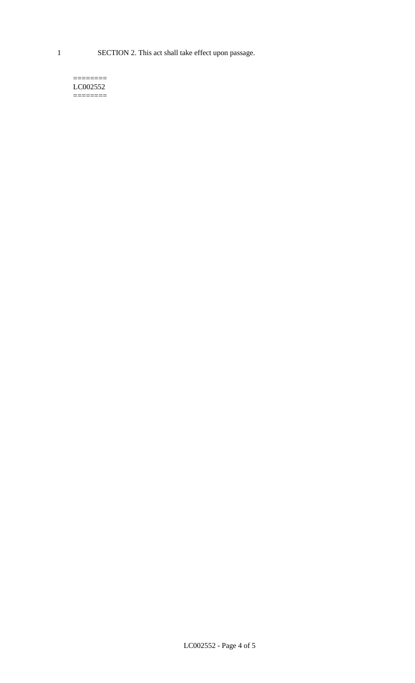1 SECTION 2. This act shall take effect upon passage.

#### $=$ LC002552  $=$